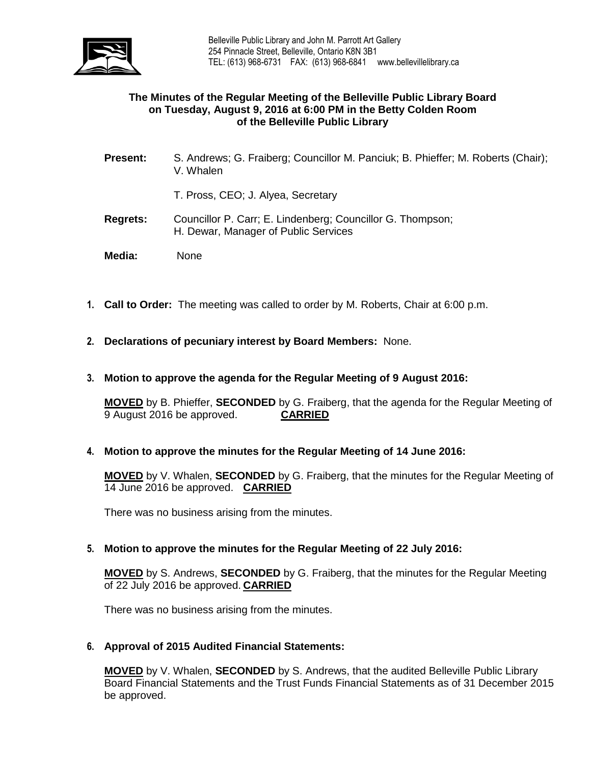

## **The Minutes of the Regular Meeting of the Belleville Public Library Board on Tuesday, August 9, 2016 at 6:00 PM in the Betty Colden Room of the Belleville Public Library**

- **Present:** S. Andrews; G. Fraiberg; Councillor M. Panciuk; B. Phieffer; M. Roberts (Chair); V. Whalen
	- T. Pross, CEO; J. Alyea, Secretary
- **Regrets:** Councillor P. Carr; E. Lindenberg; Councillor G. Thompson; H. Dewar, Manager of Public Services
- **Media:** None
- **1. Call to Order:** The meeting was called to order by M. Roberts, Chair at 6:00 p.m.
- **2. Declarations of pecuniary interest by Board Members:** None.
- **3. Motion to approve the agenda for the Regular Meeting of 9 August 2016:**

**MOVED** by B. Phieffer, **SECONDED** by G. Fraiberg, that the agenda for the Regular Meeting of 9 August 2016 be approved. **CARRIED**

**4. Motion to approve the minutes for the Regular Meeting of 14 June 2016:**

**MOVED** by V. Whalen, **SECONDED** by G. Fraiberg, that the minutes for the Regular Meeting of 14 June 2016 be approved. **CARRIED**

There was no business arising from the minutes.

**5. Motion to approve the minutes for the Regular Meeting of 22 July 2016:**

**MOVED** by S. Andrews, **SECONDED** by G. Fraiberg, that the minutes for the Regular Meeting of 22 July 2016 be approved. **CARRIED**

There was no business arising from the minutes.

## **6. Approval of 2015 Audited Financial Statements:**

**MOVED** by V. Whalen, **SECONDED** by S. Andrews, that the audited Belleville Public Library Board Financial Statements and the Trust Funds Financial Statements as of 31 December 2015 be approved.